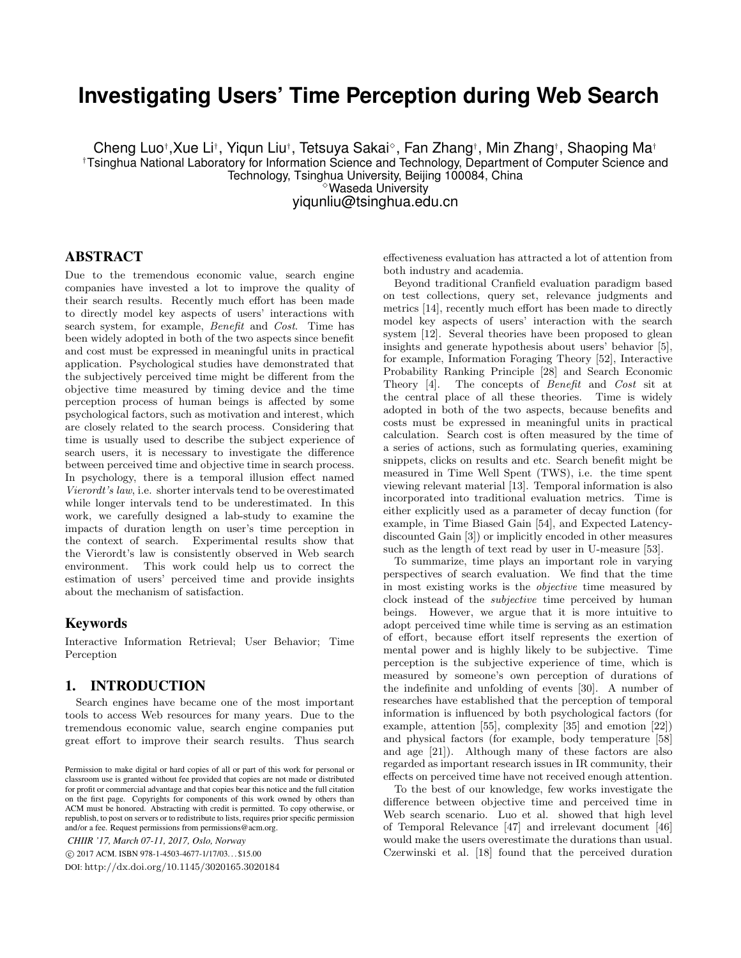# **Investigating Users' Time Perception during Web Search**

Cheng Luo†,Xue Li†, Yiqun Liu†, Tetsuya Sakai°, Fan Zhang†, Min Zhang†, Shaoping Ma† †Tsinghua National Laboratory for Information Science and Technology, Department of Computer Science and Technology, Tsinghua University, Beijing 100084, China

✸Waseda University yiqunliu@tsinghua.edu.cn

## ABSTRACT

Due to the tremendous economic value, search engine companies have invested a lot to improve the quality of their search results. Recently much effort has been made to directly model key aspects of users' interactions with search system, for example, Benefit and Cost. Time has been widely adopted in both of the two aspects since benefit and cost must be expressed in meaningful units in practical application. Psychological studies have demonstrated that the subjectively perceived time might be different from the objective time measured by timing device and the time perception process of human beings is affected by some psychological factors, such as motivation and interest, which are closely related to the search process. Considering that time is usually used to describe the subject experience of search users, it is necessary to investigate the difference between perceived time and objective time in search process. In psychology, there is a temporal illusion effect named Vierordt's law, i.e. shorter intervals tend to be overestimated while longer intervals tend to be underestimated. In this work, we carefully designed a lab-study to examine the impacts of duration length on user's time perception in the context of search. Experimental results show that the Vierordt's law is consistently observed in Web search environment. This work could help us to correct the estimation of users' perceived time and provide insights about the mechanism of satisfaction.

### Keywords

Interactive Information Retrieval; User Behavior; Time Perception

## 1. INTRODUCTION

Search engines have became one of the most important tools to access Web resources for many years. Due to the tremendous economic value, search engine companies put great effort to improve their search results. Thus search

*CHIIR '17, March 07-11, 2017, Oslo, Norway*

c 2017 ACM. ISBN 978-1-4503-4677-1/17/03. . . \$15.00

DOI: http://dx.doi.org/10.1145/3020165.3020184

effectiveness evaluation has attracted a lot of attention from both industry and academia.

Beyond traditional Cranfield evaluation paradigm based on test collections, query set, relevance judgments and metrics [14], recently much effort has been made to directly model key aspects of users' interaction with the search system [12]. Several theories have been proposed to glean insights and generate hypothesis about users' behavior [5], for example, Information Foraging Theory [52], Interactive Probability Ranking Principle [28] and Search Economic Theory [4]. The concepts of Benefit and Cost sit at the central place of all these theories. Time is widely adopted in both of the two aspects, because benefits and costs must be expressed in meaningful units in practical calculation. Search cost is often measured by the time of a series of actions, such as formulating queries, examining snippets, clicks on results and etc. Search benefit might be measured in Time Well Spent (TWS), i.e. the time spent viewing relevant material [13]. Temporal information is also incorporated into traditional evaluation metrics. Time is either explicitly used as a parameter of decay function (for example, in Time Biased Gain [54], and Expected Latencydiscounted Gain [3]) or implicitly encoded in other measures such as the length of text read by user in U-measure [53].

To summarize, time plays an important role in varying perspectives of search evaluation. We find that the time in most existing works is the objective time measured by clock instead of the subjective time perceived by human beings. However, we argue that it is more intuitive to adopt perceived time while time is serving as an estimation of effort, because effort itself represents the exertion of mental power and is highly likely to be subjective. Time perception is the subjective experience of time, which is measured by someone's own perception of durations of the indefinite and unfolding of events [30]. A number of researches have established that the perception of temporal information is influenced by both psychological factors (for example, attention [55], complexity [35] and emotion [22]) and physical factors (for example, body temperature [58] and age [21]). Although many of these factors are also regarded as important research issues in IR community, their effects on perceived time have not received enough attention.

To the best of our knowledge, few works investigate the difference between objective time and perceived time in Web search scenario. Luo et al. showed that high level of Temporal Relevance [47] and irrelevant document [46] would make the users overestimate the durations than usual. Czerwinski et al. [18] found that the perceived duration

Permission to make digital or hard copies of all or part of this work for personal or classroom use is granted without fee provided that copies are not made or distributed for profit or commercial advantage and that copies bear this notice and the full citation on the first page. Copyrights for components of this work owned by others than ACM must be honored. Abstracting with credit is permitted. To copy otherwise, or republish, to post on servers or to redistribute to lists, requires prior specific permission and/or a fee. Request permissions from permissions@acm.org.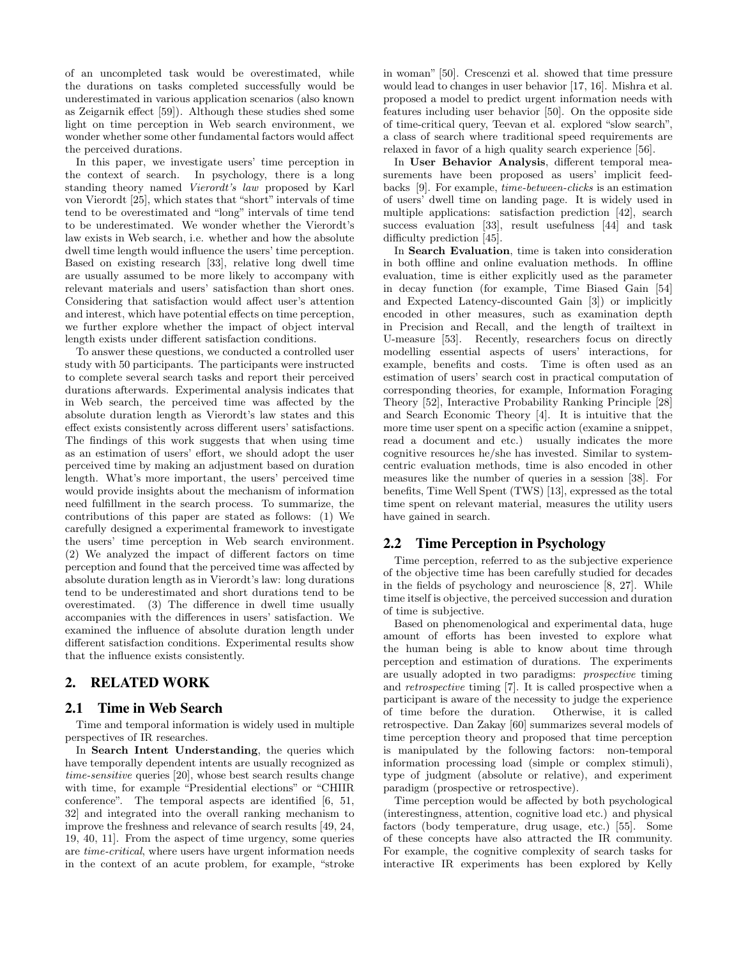of an uncompleted task would be overestimated, while the durations on tasks completed successfully would be underestimated in various application scenarios (also known as Zeigarnik effect [59]). Although these studies shed some light on time perception in Web search environment, we wonder whether some other fundamental factors would affect the perceived durations.

In this paper, we investigate users' time perception in the context of search. In psychology, there is a long standing theory named Vierordt's law proposed by Karl von Vierordt [25], which states that "short" intervals of time tend to be overestimated and "long" intervals of time tend to be underestimated. We wonder whether the Vierordt's law exists in Web search, i.e. whether and how the absolute dwell time length would influence the users' time perception. Based on existing research [33], relative long dwell time are usually assumed to be more likely to accompany with relevant materials and users' satisfaction than short ones. Considering that satisfaction would affect user's attention and interest, which have potential effects on time perception, we further explore whether the impact of object interval length exists under different satisfaction conditions.

To answer these questions, we conducted a controlled user study with 50 participants. The participants were instructed to complete several search tasks and report their perceived durations afterwards. Experimental analysis indicates that in Web search, the perceived time was affected by the absolute duration length as Vierordt's law states and this effect exists consistently across different users' satisfactions. The findings of this work suggests that when using time as an estimation of users' effort, we should adopt the user perceived time by making an adjustment based on duration length. What's more important, the users' perceived time would provide insights about the mechanism of information need fulfillment in the search process. To summarize, the contributions of this paper are stated as follows: (1) We carefully designed a experimental framework to investigate the users' time perception in Web search environment. (2) We analyzed the impact of different factors on time perception and found that the perceived time was affected by absolute duration length as in Vierordt's law: long durations tend to be underestimated and short durations tend to be overestimated. (3) The difference in dwell time usually accompanies with the differences in users' satisfaction. We examined the influence of absolute duration length under different satisfaction conditions. Experimental results show that the influence exists consistently.

# 2. RELATED WORK

# 2.1 Time in Web Search

Time and temporal information is widely used in multiple perspectives of IR researches.

In Search Intent Understanding, the queries which have temporally dependent intents are usually recognized as time-sensitive queries [20], whose best search results change with time, for example "Presidential elections" or "CHIIR conference". The temporal aspects are identified [6, 51, 32] and integrated into the overall ranking mechanism to improve the freshness and relevance of search results [49, 24, 19, 40, 11]. From the aspect of time urgency, some queries are time-critical, where users have urgent information needs in the context of an acute problem, for example, "stroke in woman" [50]. Crescenzi et al. showed that time pressure would lead to changes in user behavior [17, 16]. Mishra et al. proposed a model to predict urgent information needs with features including user behavior [50]. On the opposite side of time-critical query, Teevan et al. explored "slow search", a class of search where traditional speed requirements are relaxed in favor of a high quality search experience [56].

In User Behavior Analysis, different temporal measurements have been proposed as users' implicit feedbacks [9]. For example, time-between-clicks is an estimation of users' dwell time on landing page. It is widely used in multiple applications: satisfaction prediction [42], search success evaluation [33], result usefulness [44] and task difficulty prediction [45].

In Search Evaluation, time is taken into consideration in both offline and online evaluation methods. In offline evaluation, time is either explicitly used as the parameter in decay function (for example, Time Biased Gain [54] and Expected Latency-discounted Gain [3]) or implicitly encoded in other measures, such as examination depth in Precision and Recall, and the length of trailtext in U-measure [53]. Recently, researchers focus on directly modelling essential aspects of users' interactions, for example, benefits and costs. Time is often used as an estimation of users' search cost in practical computation of corresponding theories, for example, Information Foraging Theory [52], Interactive Probability Ranking Principle [28] and Search Economic Theory [4]. It is intuitive that the more time user spent on a specific action (examine a snippet, read a document and etc.) usually indicates the more cognitive resources he/she has invested. Similar to systemcentric evaluation methods, time is also encoded in other measures like the number of queries in a session [38]. For benefits, Time Well Spent (TWS) [13], expressed as the total time spent on relevant material, measures the utility users have gained in search.

# 2.2 Time Perception in Psychology

Time perception, referred to as the subjective experience of the objective time has been carefully studied for decades in the fields of psychology and neuroscience [8, 27]. While time itself is objective, the perceived succession and duration of time is subjective.

Based on phenomenological and experimental data, huge amount of efforts has been invested to explore what the human being is able to know about time through perception and estimation of durations. The experiments are usually adopted in two paradigms: prospective timing and retrospective timing [7]. It is called prospective when a participant is aware of the necessity to judge the experience of time before the duration. Otherwise, it is called retrospective. Dan Zakay [60] summarizes several models of time perception theory and proposed that time perception is manipulated by the following factors: non-temporal information processing load (simple or complex stimuli), type of judgment (absolute or relative), and experiment paradigm (prospective or retrospective).

Time perception would be affected by both psychological (interestingness, attention, cognitive load etc.) and physical factors (body temperature, drug usage, etc.) [55]. Some of these concepts have also attracted the IR community. For example, the cognitive complexity of search tasks for interactive IR experiments has been explored by Kelly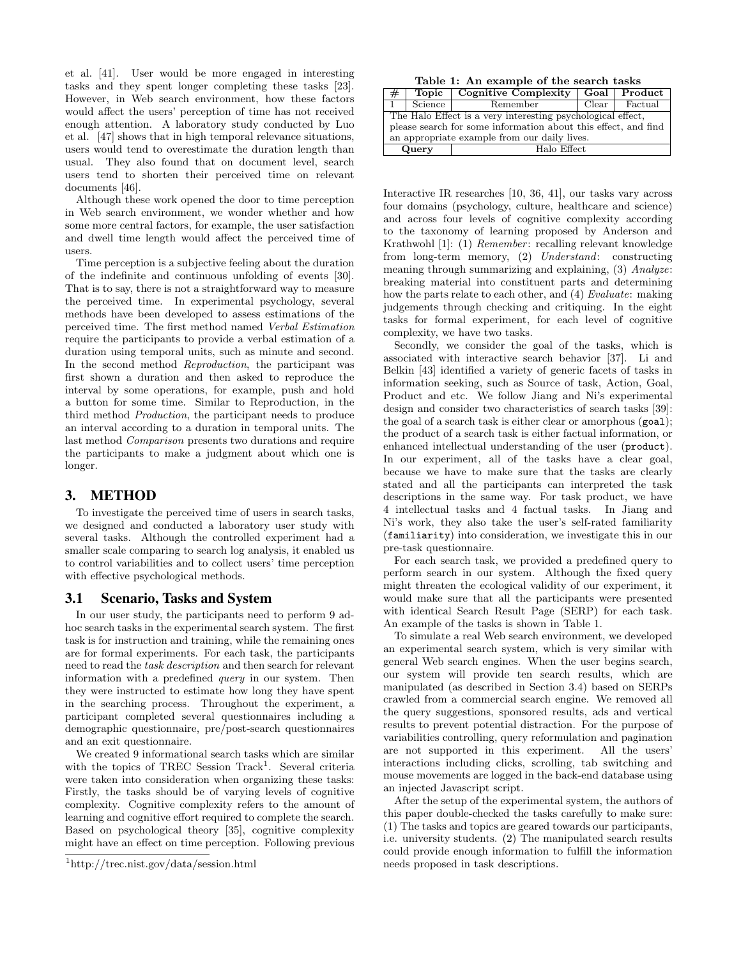et al. [41]. User would be more engaged in interesting tasks and they spent longer completing these tasks [23]. However, in Web search environment, how these factors would affect the users' perception of time has not received enough attention. A laboratory study conducted by Luo et al. [47] shows that in high temporal relevance situations, users would tend to overestimate the duration length than usual. They also found that on document level, search users tend to shorten their perceived time on relevant documents [46].

Although these work opened the door to time perception in Web search environment, we wonder whether and how some more central factors, for example, the user satisfaction and dwell time length would affect the perceived time of users.

Time perception is a subjective feeling about the duration of the indefinite and continuous unfolding of events [30]. That is to say, there is not a straightforward way to measure the perceived time. In experimental psychology, several methods have been developed to assess estimations of the perceived time. The first method named Verbal Estimation require the participants to provide a verbal estimation of a duration using temporal units, such as minute and second. In the second method Reproduction, the participant was first shown a duration and then asked to reproduce the interval by some operations, for example, push and hold a button for some time. Similar to Reproduction, in the third method Production, the participant needs to produce an interval according to a duration in temporal units. The last method Comparison presents two durations and require the participants to make a judgment about which one is longer.

# 3. METHOD

To investigate the perceived time of users in search tasks, we designed and conducted a laboratory user study with several tasks. Although the controlled experiment had a smaller scale comparing to search log analysis, it enabled us to control variabilities and to collect users' time perception with effective psychological methods.

### 3.1 Scenario, Tasks and System

In our user study, the participants need to perform 9 adhoc search tasks in the experimental search system. The first task is for instruction and training, while the remaining ones are for formal experiments. For each task, the participants need to read the task description and then search for relevant information with a predefined query in our system. Then they were instructed to estimate how long they have spent in the searching process. Throughout the experiment, a participant completed several questionnaires including a demographic questionnaire, pre/post-search questionnaires and an exit questionnaire.

We created 9 informational search tasks which are similar with the topics of TREC Session Track<sup>1</sup>. Several criteria were taken into consideration when organizing these tasks: Firstly, the tasks should be of varying levels of cognitive complexity. Cognitive complexity refers to the amount of learning and cognitive effort required to complete the search. Based on psychological theory [35], cognitive complexity might have an effect on time perception. Following previous

Table 1: An example of the search tasks

| #                                                              | <b>Cognitive Complexity</b><br>Topic |          | Goal          | Product |  |
|----------------------------------------------------------------|--------------------------------------|----------|---------------|---------|--|
|                                                                | Science                              | Remember | $Clear \perp$ | Factual |  |
| The Halo Effect is a very interesting psychological effect,    |                                      |          |               |         |  |
| please search for some information about this effect, and find |                                      |          |               |         |  |
| an appropriate example from our daily lives.                   |                                      |          |               |         |  |
|                                                                | Halo Effect<br>Query                 |          |               |         |  |

Interactive IR researches [10, 36, 41], our tasks vary across four domains (psychology, culture, healthcare and science) and across four levels of cognitive complexity according to the taxonomy of learning proposed by Anderson and Krathwohl [1]: (1) Remember: recalling relevant knowledge from long-term memory, (2) Understand: constructing meaning through summarizing and explaining, (3) Analyze: breaking material into constituent parts and determining how the parts relate to each other, and (4) Evaluate: making judgements through checking and critiquing. In the eight tasks for formal experiment, for each level of cognitive complexity, we have two tasks.

Secondly, we consider the goal of the tasks, which is associated with interactive search behavior [37]. Li and Belkin [43] identified a variety of generic facets of tasks in information seeking, such as Source of task, Action, Goal, Product and etc. We follow Jiang and Ni's experimental design and consider two characteristics of search tasks [39]: the goal of a search task is either clear or amorphous (goal); the product of a search task is either factual information, or enhanced intellectual understanding of the user (product). In our experiment, all of the tasks have a clear goal, because we have to make sure that the tasks are clearly stated and all the participants can interpreted the task descriptions in the same way. For task product, we have 4 intellectual tasks and 4 factual tasks. In Jiang and Ni's work, they also take the user's self-rated familiarity (familiarity) into consideration, we investigate this in our pre-task questionnaire.

For each search task, we provided a predefined query to perform search in our system. Although the fixed query might threaten the ecological validity of our experiment, it would make sure that all the participants were presented with identical Search Result Page (SERP) for each task. An example of the tasks is shown in Table 1.

To simulate a real Web search environment, we developed an experimental search system, which is very similar with general Web search engines. When the user begins search, our system will provide ten search results, which are manipulated (as described in Section 3.4) based on SERPs crawled from a commercial search engine. We removed all the query suggestions, sponsored results, ads and vertical results to prevent potential distraction. For the purpose of variabilities controlling, query reformulation and pagination are not supported in this experiment. All the users' interactions including clicks, scrolling, tab switching and mouse movements are logged in the back-end database using an injected Javascript script.

After the setup of the experimental system, the authors of this paper double-checked the tasks carefully to make sure: (1) The tasks and topics are geared towards our participants, i.e. university students. (2) The manipulated search results could provide enough information to fulfill the information needs proposed in task descriptions.

<sup>1</sup>http://trec.nist.gov/data/session.html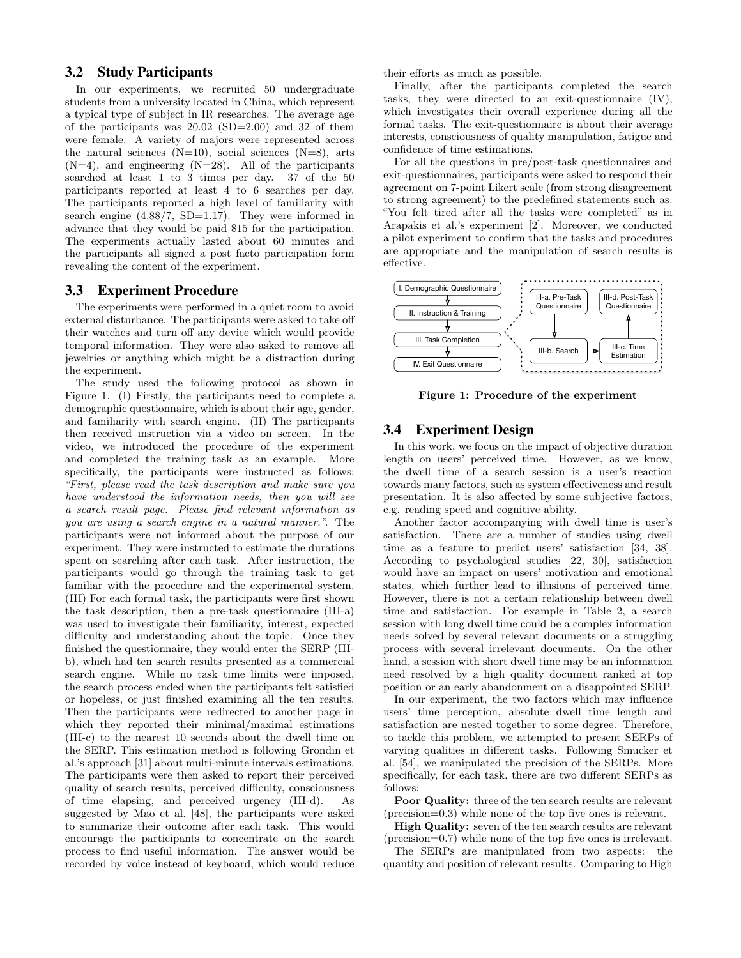# 3.2 Study Participants

In our experiments, we recruited 50 undergraduate students from a university located in China, which represent a typical type of subject in IR researches. The average age of the participants was 20.02 (SD=2.00) and 32 of them were female. A variety of majors were represented across the natural sciences  $(N=10)$ , social sciences  $(N=8)$ , arts  $(N=4)$ , and engineering  $(N=28)$ . All of the participants searched at least 1 to 3 times per day. 37 of the 50 participants reported at least 4 to 6 searches per day. The participants reported a high level of familiarity with search engine  $(4.88/7, SD=1.17)$ . They were informed in advance that they would be paid \$15 for the participation. The experiments actually lasted about 60 minutes and the participants all signed a post facto participation form revealing the content of the experiment.

# 3.3 Experiment Procedure

The experiments were performed in a quiet room to avoid external disturbance. The participants were asked to take off their watches and turn off any device which would provide temporal information. They were also asked to remove all jewelries or anything which might be a distraction during the experiment.

The study used the following protocol as shown in Figure 1. (I) Firstly, the participants need to complete a demographic questionnaire, which is about their age, gender, and familiarity with search engine. (II) The participants then received instruction via a video on screen. In the video, we introduced the procedure of the experiment and completed the training task as an example. More specifically, the participants were instructed as follows: "First, please read the task description and make sure you have understood the information needs, then you will see a search result page. Please find relevant information as you are using a search engine in a natural manner.". The participants were not informed about the purpose of our experiment. They were instructed to estimate the durations spent on searching after each task. After instruction, the participants would go through the training task to get familiar with the procedure and the experimental system. (III) For each formal task, the participants were first shown the task description, then a pre-task questionnaire (III-a) was used to investigate their familiarity, interest, expected difficulty and understanding about the topic. Once they finished the questionnaire, they would enter the SERP (IIIb), which had ten search results presented as a commercial search engine. While no task time limits were imposed, the search process ended when the participants felt satisfied or hopeless, or just finished examining all the ten results. Then the participants were redirected to another page in which they reported their minimal/maximal estimations (III-c) to the nearest 10 seconds about the dwell time on the SERP. This estimation method is following Grondin et al.'s approach [31] about multi-minute intervals estimations. The participants were then asked to report their perceived quality of search results, perceived difficulty, consciousness of time elapsing, and perceived urgency (III-d). As suggested by Mao et al. [48], the participants were asked to summarize their outcome after each task. This would encourage the participants to concentrate on the search process to find useful information. The answer would be recorded by voice instead of keyboard, which would reduce

their efforts as much as possible.

Finally, after the participants completed the search tasks, they were directed to an exit-questionnaire (IV), which investigates their overall experience during all the formal tasks. The exit-questionnaire is about their average interests, consciousness of quality manipulation, fatigue and confidence of time estimations.

For all the questions in pre/post-task questionnaires and exit-questionnaires, participants were asked to respond their agreement on 7-point Likert scale (from strong disagreement to strong agreement) to the predefined statements such as: "You felt tired after all the tasks were completed" as in Arapakis et al.'s experiment [2]. Moreover, we conducted a pilot experiment to confirm that the tasks and procedures are appropriate and the manipulation of search results is effective.



Figure 1: Procedure of the experiment

# 3.4 Experiment Design

In this work, we focus on the impact of objective duration length on users' perceived time. However, as we know, the dwell time of a search session is a user's reaction towards many factors, such as system effectiveness and result presentation. It is also affected by some subjective factors, e.g. reading speed and cognitive ability.

Another factor accompanying with dwell time is user's satisfaction. There are a number of studies using dwell time as a feature to predict users' satisfaction [34, 38]. According to psychological studies [22, 30], satisfaction would have an impact on users' motivation and emotional states, which further lead to illusions of perceived time. However, there is not a certain relationship between dwell time and satisfaction. For example in Table 2, a search session with long dwell time could be a complex information needs solved by several relevant documents or a struggling process with several irrelevant documents. On the other hand, a session with short dwell time may be an information need resolved by a high quality document ranked at top position or an early abandonment on a disappointed SERP.

In our experiment, the two factors which may influence users' time perception, absolute dwell time length and satisfaction are nested together to some degree. Therefore, to tackle this problem, we attempted to present SERPs of varying qualities in different tasks. Following Smucker et al. [54], we manipulated the precision of the SERPs. More specifically, for each task, there are two different SERPs as follows:

Poor Quality: three of the ten search results are relevant (precision=0.3) while none of the top five ones is relevant.

High Quality: seven of the ten search results are relevant (precision=0.7) while none of the top five ones is irrelevant.

The SERPs are manipulated from two aspects: the quantity and position of relevant results. Comparing to High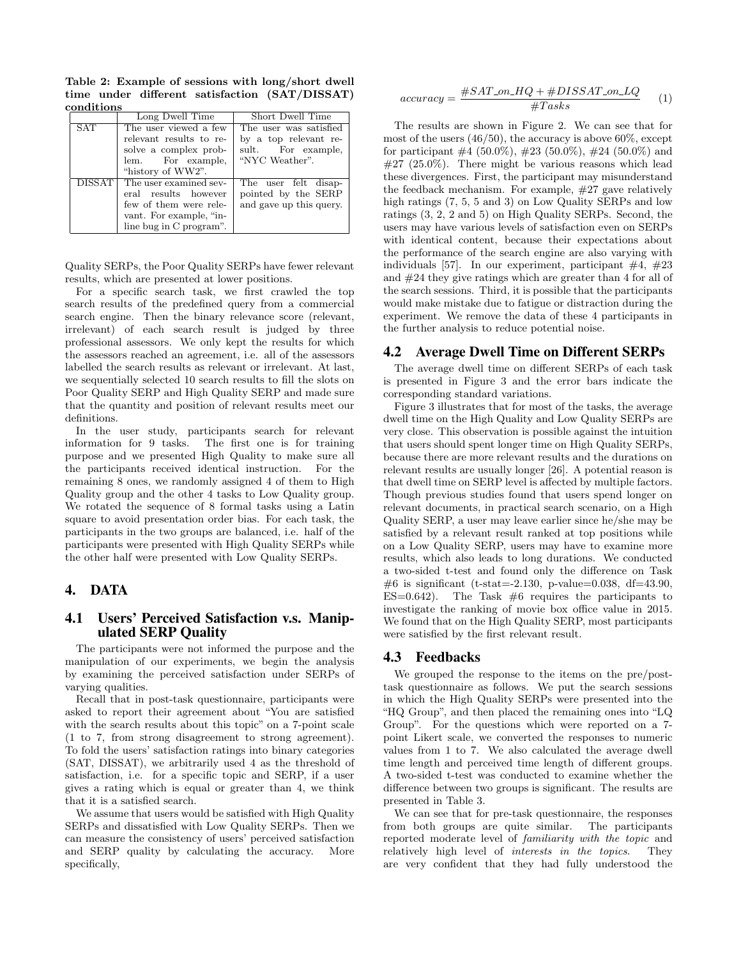Table 2: Example of sessions with long/short dwell time under different satisfaction (SAT/DISSAT) conditions

|               | Long Dwell Time                                                                                                                | Short Dwell Time                                                                        |
|---------------|--------------------------------------------------------------------------------------------------------------------------------|-----------------------------------------------------------------------------------------|
| SAT           | The user viewed a few<br>relevant results to re-<br>solve a complex prob-<br>lem. For example,<br>"history of WW2".            | The user was satisfied<br>by a top relevant re-<br>sult. For example,<br>"NYC Weather". |
| <b>DISSAT</b> | The user examined sev-<br>eral results however<br>few of them were rele-<br>vant. For example, "in-<br>line bug in C program". | The user felt disap-<br>pointed by the SERP<br>and gave up this query.                  |

Quality SERPs, the Poor Quality SERPs have fewer relevant results, which are presented at lower positions.

For a specific search task, we first crawled the top search results of the predefined query from a commercial search engine. Then the binary relevance score (relevant, irrelevant) of each search result is judged by three professional assessors. We only kept the results for which the assessors reached an agreement, i.e. all of the assessors labelled the search results as relevant or irrelevant. At last, we sequentially selected 10 search results to fill the slots on Poor Quality SERP and High Quality SERP and made sure that the quantity and position of relevant results meet our definitions.

In the user study, participants search for relevant information for 9 tasks. The first one is for training purpose and we presented High Quality to make sure all the participants received identical instruction. For the remaining 8 ones, we randomly assigned 4 of them to High Quality group and the other 4 tasks to Low Quality group. We rotated the sequence of 8 formal tasks using a Latin square to avoid presentation order bias. For each task, the participants in the two groups are balanced, i.e. half of the participants were presented with High Quality SERPs while the other half were presented with Low Quality SERPs.

# 4. DATA

# 4.1 Users' Perceived Satisfaction v.s. Manipulated SERP Quality

The participants were not informed the purpose and the manipulation of our experiments, we begin the analysis by examining the perceived satisfaction under SERPs of varying qualities.

Recall that in post-task questionnaire, participants were asked to report their agreement about "You are satisfied with the search results about this topic" on a 7-point scale (1 to 7, from strong disagreement to strong agreement). To fold the users' satisfaction ratings into binary categories (SAT, DISSAT), we arbitrarily used 4 as the threshold of satisfaction, i.e. for a specific topic and SERP, if a user gives a rating which is equal or greater than 4, we think that it is a satisfied search.

We assume that users would be satisfied with High Quality SERPs and dissatisfied with Low Quality SERPs. Then we can measure the consistency of users' perceived satisfaction and SERP quality by calculating the accuracy. More specifically,

$$
accuracy = \frac{\#SAT\_on\_HQ + \#DISSAT\_on\_LQ}{\#Tasks} \tag{1}
$$

The results are shown in Figure 2. We can see that for most of the users  $(46/50)$ , the accuracy is above  $60\%$ , except for participant  $\#4$  (50.0%),  $\#23$  (50.0%),  $\#24$  (50.0%) and #27 (25.0%). There might be various reasons which lead these divergences. First, the participant may misunderstand the feedback mechanism. For example, #27 gave relatively high ratings (7, 5, 5 and 3) on Low Quality SERPs and low ratings (3, 2, 2 and 5) on High Quality SERPs. Second, the users may have various levels of satisfaction even on SERPs with identical content, because their expectations about the performance of the search engine are also varying with individuals [57]. In our experiment, participant  $\#4, \#23$ and #24 they give ratings which are greater than 4 for all of the search sessions. Third, it is possible that the participants would make mistake due to fatigue or distraction during the experiment. We remove the data of these 4 participants in the further analysis to reduce potential noise.

# 4.2 Average Dwell Time on Different SERPs

The average dwell time on different SERPs of each task is presented in Figure 3 and the error bars indicate the corresponding standard variations.

Figure 3 illustrates that for most of the tasks, the average dwell time on the High Quality and Low Quality SERPs are very close. This observation is possible against the intuition that users should spent longer time on High Quality SERPs, because there are more relevant results and the durations on relevant results are usually longer [26]. A potential reason is that dwell time on SERP level is affected by multiple factors. Though previous studies found that users spend longer on relevant documents, in practical search scenario, on a High Quality SERP, a user may leave earlier since he/she may be satisfied by a relevant result ranked at top positions while on a Low Quality SERP, users may have to examine more results, which also leads to long durations. We conducted a two-sided t-test and found only the difference on Task #6 is significant (t-stat=-2.130, p-value=0.038, df=43.90, ES=0.642). The Task  $#6$  requires the participants to investigate the ranking of movie box office value in 2015. We found that on the High Quality SERP, most participants were satisfied by the first relevant result.

### 4.3 Feedbacks

We grouped the response to the items on the pre/posttask questionnaire as follows. We put the search sessions in which the High Quality SERPs were presented into the "HQ Group", and then placed the remaining ones into "LQ Group". For the questions which were reported on a 7 point Likert scale, we converted the responses to numeric values from 1 to 7. We also calculated the average dwell time length and perceived time length of different groups. A two-sided t-test was conducted to examine whether the difference between two groups is significant. The results are presented in Table 3.

We can see that for pre-task questionnaire, the responses from both groups are quite similar. The participants reported moderate level of familiarity with the topic and relatively high level of interests in the topics. They are very confident that they had fully understood the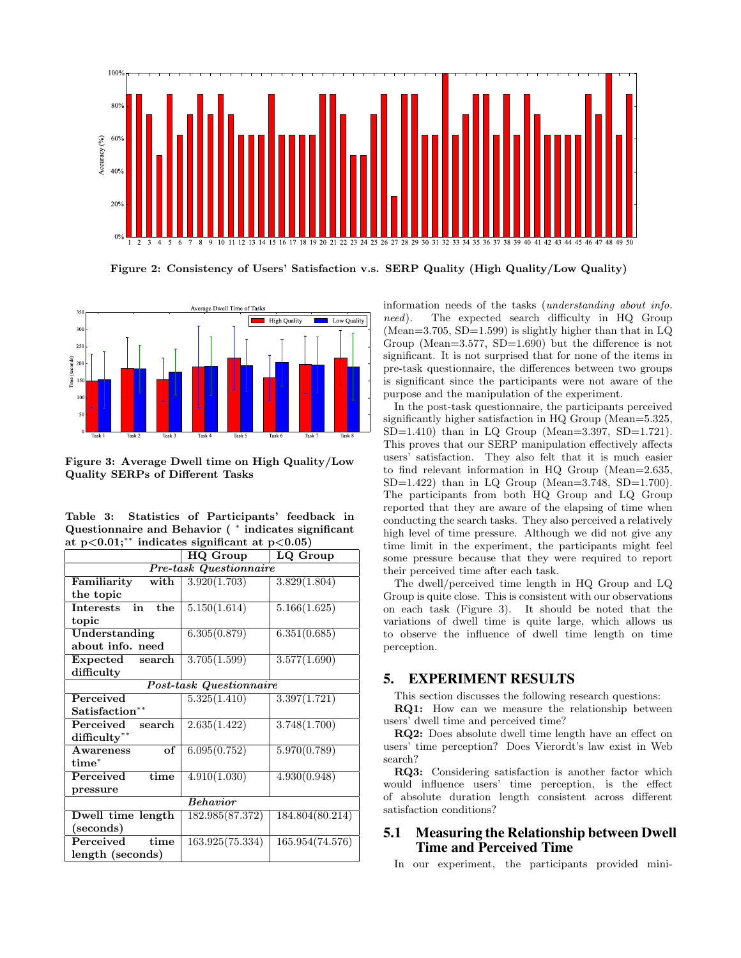

Figure 2: Consistency of Users' Satisfaction v.s. SERP Quality (High Quality/Low Quality)



Figure 3: Average Dwell time on High Quality/Low Quality SERPs of Different Tasks

|  |  | Table 3: Statistics of Participants' feedback in                |  |
|--|--|-----------------------------------------------------------------|--|
|  |  | Questionnaire and Behavior (* indicates significant             |  |
|  |  | at $p<0.01$ ; <sup>**</sup> indicates significant at $p<0.05$ ) |  |

|                                                     | HQ Group                | LQ Group        |  |  |
|-----------------------------------------------------|-------------------------|-----------------|--|--|
| <b>Pre-task Questionnaire</b>                       |                         |                 |  |  |
| Familiarity<br>with                                 | 3.920(1.703)            | 3.829(1.804)    |  |  |
| the topic                                           |                         |                 |  |  |
| $\overline{\text{in}}$<br>the<br>$In {\rm terests}$ | 5.150(1.614)            | 5.166(1.625)    |  |  |
| topic                                               |                         |                 |  |  |
| Understanding                                       | 6.305(0.879)            | 6.351(0.685)    |  |  |
| about info. need                                    |                         |                 |  |  |
| Expected<br>search                                  | 3.705(1.599)            | 3.577(1.690)    |  |  |
| difficulty                                          |                         |                 |  |  |
|                                                     | Post-task Questionnaire |                 |  |  |
| Perceived                                           | 5.325(1.410)            | 3.397(1.721)    |  |  |
| Satisfaction**                                      |                         |                 |  |  |
| Perceived<br>search                                 | 2.635(1.422)            | 3.748(1.700)    |  |  |
| difficulty**                                        |                         |                 |  |  |
| of<br>Awareness                                     | 6.095(0.752)            | 5.970(0.789)    |  |  |
| $time^*$                                            |                         |                 |  |  |
| time<br>Perceived                                   | 4.910(1.030)            | 4.930(0.948)    |  |  |
| pressure                                            |                         |                 |  |  |
| <b>Behavior</b>                                     |                         |                 |  |  |
| Dwell time length                                   | 182.985(87.372)         | 184.804(80.214) |  |  |
| (seconds)                                           |                         |                 |  |  |
| Perceived<br>time                                   | 163.925(75.334)         | 165.954(74.576) |  |  |
| length (seconds)                                    |                         |                 |  |  |
|                                                     |                         |                 |  |  |

information needs of the tasks (understanding about info. need). The expected search difficulty in HQ Group (Mean=3.705, SD=1.599) is slightly higher than that in  $LQ$ Group (Mean=3.577, SD=1.690) but the difference is not significant. It is not surprised that for none of the items in pre-task questionnaire, the differences between two groups is significant since the participants were not aware of the purpose and the manipulation of the experiment.

In the post-task questionnaire, the participants perceived significantly higher satisfaction in HQ Group (Mean=5.325, SD=1.410) than in LQ Group (Mean=3.397, SD=1.721). This proves that our SERP manipulation effectively affects users' satisfaction. They also felt that it is much easier to find relevant information in HQ Group (Mean=2.635,  $SD=1.422$ ) than in LQ Group (Mean=3.748, SD=1.700). The participants from both HQ Group and LQ Group reported that they are aware of the elapsing of time when conducting the search tasks. They also perceived a relatively high level of time pressure. Although we did not give any time limit in the experiment, the participants might feel some pressure because that they were required to report their perceived time after each task.

The dwell/perceived time length in HQ Group and LQ Group is quite close. This is consistent with our observations on each task (Figure 3). It should be noted that the variations of dwell time is quite large, which allows us to observe the influence of dwell time length on time perception.

# 5. EXPERIMENT RESULTS

This section discusses the following research questions: RQ1: How can we measure the relationship between users' dwell time and perceived time?

RQ2: Does absolute dwell time length have an effect on users' time perception? Does Vierordt's law exist in Web search?

RQ3: Considering satisfaction is another factor which would influence users' time perception, is the effect of absolute duration length consistent across different satisfaction conditions?

# 5.1 Measuring the Relationship between Dwell Time and Perceived Time

In our experiment, the participants provided mini-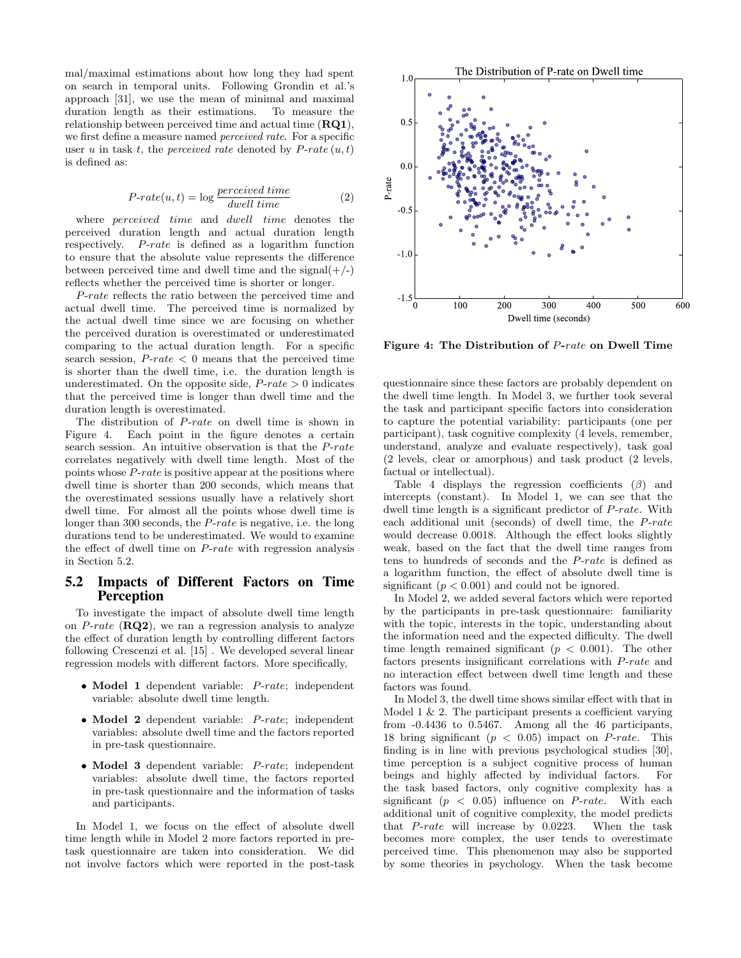mal/maximal estimations about how long they had spent on search in temporal units. Following Grondin et al.'s approach [31], we use the mean of minimal and maximal duration length as their estimations. To measure the relationship between perceived time and actual time (RQ1), we first define a measure named *perceived rate*. For a specific user u in task t, the *perceived rate* denoted by  $P\text{-}rate(u, t)$ is defined as:

$$
P\text{-}rate(u,t) = \log \frac{percentage \times d \times time}{dwell \times time}
$$
\n<sup>(2)</sup>

where *perceived* time and *dwell* time denotes the perceived duration length and actual duration length respectively. P-rate is defined as a logarithm function to ensure that the absolute value represents the difference between perceived time and dwell time and the signal( $+/-$ ) reflects whether the perceived time is shorter or longer.

P-rate reflects the ratio between the perceived time and actual dwell time. The perceived time is normalized by the actual dwell time since we are focusing on whether the perceived duration is overestimated or underestimated comparing to the actual duration length. For a specific search session,  $P\text{-}rate < 0$  means that the perceived time is shorter than the dwell time, i.e. the duration length is underestimated. On the opposite side,  $P\text{-}rate > 0$  indicates that the perceived time is longer than dwell time and the duration length is overestimated.

The distribution of P-rate on dwell time is shown in Figure 4. Each point in the figure denotes a certain search session. An intuitive observation is that the P-rate correlates negatively with dwell time length. Most of the points whose P-rate is positive appear at the positions where dwell time is shorter than 200 seconds, which means that the overestimated sessions usually have a relatively short dwell time. For almost all the points whose dwell time is longer than 300 seconds, the *P-rate* is negative, i.e. the long durations tend to be underestimated. We would to examine the effect of dwell time on P-rate with regression analysis in Section 5.2.

#### 5.2 Impacts of Different Factors on Time Perception

To investigate the impact of absolute dwell time length on  $P\text{-}rate$  ( $\bf RQ2$ ), we ran a regression analysis to analyze the effect of duration length by controlling different factors following Crescenzi et al. [15] . We developed several linear regression models with different factors. More specifically,

- Model 1 dependent variable: P-rate; independent variable: absolute dwell time length.
- Model 2 dependent variable: P-rate; independent variables: absolute dwell time and the factors reported in pre-task questionnaire.
- Model 3 dependent variable: P-rate; independent variables: absolute dwell time, the factors reported in pre-task questionnaire and the information of tasks and participants.

In Model 1, we focus on the effect of absolute dwell time length while in Model 2 more factors reported in pretask questionnaire are taken into consideration. We did not involve factors which were reported in the post-task



Figure 4: The Distribution of P-rate on Dwell Time

questionnaire since these factors are probably dependent on the dwell time length. In Model 3, we further took several the task and participant specific factors into consideration to capture the potential variability: participants (one per participant), task cognitive complexity (4 levels, remember, understand, analyze and evaluate respectively), task goal (2 levels, clear or amorphous) and task product (2 levels, factual or intellectual).

Table 4 displays the regression coefficients  $(\beta)$  and intercepts (constant). In Model 1, we can see that the dwell time length is a significant predictor of P-rate. With each additional unit (seconds) of dwell time, the P-rate would decrease 0.0018. Although the effect looks slightly weak, based on the fact that the dwell time ranges from tens to hundreds of seconds and the P-rate is defined as a logarithm function, the effect of absolute dwell time is significant  $(p < 0.001)$  and could not be ignored.

In Model 2, we added several factors which were reported by the participants in pre-task questionnaire: familiarity with the topic, interests in the topic, understanding about the information need and the expected difficulty. The dwell time length remained significant ( $p < 0.001$ ). The other factors presents insignificant correlations with P-rate and no interaction effect between dwell time length and these factors was found.

In Model 3, the dwell time shows similar effect with that in Model 1  $\&$  2. The participant presents a coefficient varying from -0.4436 to 0.5467. Among all the 46 participants, 18 bring significant  $(p < 0.05)$  impact on *P-rate*. This finding is in line with previous psychological studies [30], time perception is a subject cognitive process of human beings and highly affected by individual factors. For the task based factors, only cognitive complexity has a significant  $(p < 0.05)$  influence on *P-rate*. With each additional unit of cognitive complexity, the model predicts that P-rate will increase by 0.0223. When the task becomes more complex, the user tends to overestimate perceived time. This phenomenon may also be supported by some theories in psychology. When the task become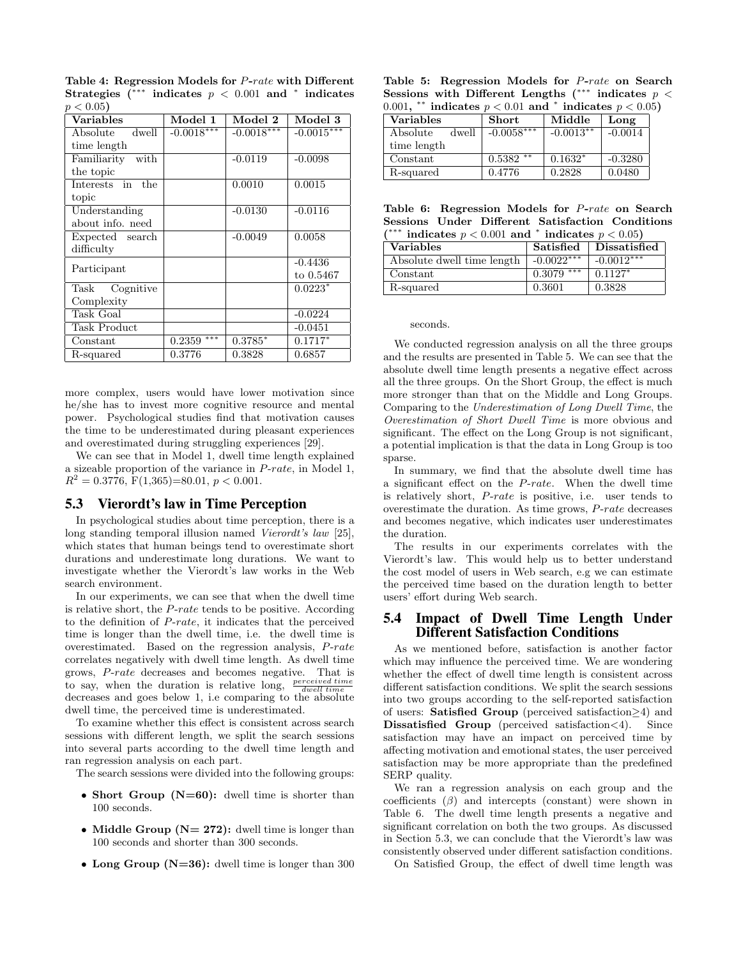| <b>Variables</b>    | Model 1       | Model 2      | Model 3      |
|---------------------|---------------|--------------|--------------|
| dwell<br>Absolute   | $-0.0018***$  | $-0.0018***$ | $-0.0015***$ |
| time length         |               |              |              |
| Familiarity with    |               | $-0.0119$    | $-0.0098$    |
| the topic           |               |              |              |
| Interests in the    |               | 0.0010       | 0.0015       |
| topic               |               |              |              |
| Understanding       |               | $-0.0130$    | $-0.0116$    |
| about info. need    |               |              |              |
| Expected search     |               | $-0.0049$    | 0.0058       |
| difficulty          |               |              |              |
| Participant         |               |              | $-0.4436$    |
|                     |               |              | to 0.5467    |
| Task Cognitive      |               |              | $0.0223*$    |
| Complexity          |               |              |              |
| Task Goal           |               |              | $-0.0224$    |
| <b>Task Product</b> |               |              | $-0.0451$    |
| Constant            | ***<br>0.2359 | $0.3785*$    | $0.1717^{*}$ |
| R-squared           | 0.3776        | 0.3828       | ${0.6857}$   |

Table 4: Regression Models for P-rate with Different Strategies  $(***$  indicates  $p < 0.001$  and \* indicates  $p < 0.05$ 

more complex, users would have lower motivation since he/she has to invest more cognitive resource and mental power. Psychological studies find that motivation causes the time to be underestimated during pleasant experiences and overestimated during struggling experiences [29].

We can see that in Model 1, dwell time length explained a sizeable proportion of the variance in P-rate, in Model 1,  $R^2 = 0.3776, \text{ F}(1,365) = 80.01, p < 0.001.$ 

#### 5.3 Vierordt's law in Time Perception

In psychological studies about time perception, there is a long standing temporal illusion named Vierordt's law [25], which states that human beings tend to overestimate short durations and underestimate long durations. We want to investigate whether the Vierordt's law works in the Web search environment.

In our experiments, we can see that when the dwell time is relative short, the P-rate tends to be positive. According to the definition of P-rate, it indicates that the perceived time is longer than the dwell time, i.e. the dwell time is overestimated. Based on the regression analysis, P-rate correlates negatively with dwell time length. As dwell time grows, P-rate decreases and becomes negative. That is to say, when the duration is relative long,  $\frac{perceived\ time}{dwell\ time}$ decreases and goes below 1, i.e comparing to the absolute dwell time, the perceived time is underestimated.

To examine whether this effect is consistent across search sessions with different length, we split the search sessions into several parts according to the dwell time length and ran regression analysis on each part.

The search sessions were divided into the following groups:

- Short Group  $(N=60)$ : dwell time is shorter than 100 seconds.
- Middle Group ( $N= 272$ ): dwell time is longer than 100 seconds and shorter than 300 seconds.
- Long Group ( $N=36$ ): dwell time is longer than 300

Table 5: Regression Models for P-rate on Search Sessions with Different Lengths (\*\*\* indicates  $p <$ 0.001, \*\* indicates  $p < 0.01$  and \* indicates  $p < 0.05$ )

| <b>Variables</b>  | <b>Short</b> | Middle      | Long      |
|-------------------|--------------|-------------|-----------|
| dwell<br>Absolute | $-0.0058***$ | $-0.0013**$ | $-0.0014$ |
| time length       |              |             |           |
| Constant          | **<br>0.5382 | $0.1632*$   | $-0.3280$ |
| R-squared         | 0.4776       | 0.2828      | 0.0480    |

Table 6: Regression Models for P-rate on Search Sessions Under Different Satisfaction Conditions (\*\*\* indicates  $p < 0.001$  and \* indicates  $p < 0.05$ )

| marcates $p \times 0.001$ and marcates $p \times 0.001$ |               |              |  |
|---------------------------------------------------------|---------------|--------------|--|
| <b>Variables</b>                                        | Satisfied     | Dissatisfied |  |
| Absolute dwell time length                              | $-0.0022***$  | $-0.0012***$ |  |
| Constant                                                | ***<br>0.3079 | $0.1127*$    |  |
| R-squared                                               | 0.3601        | 0.3828       |  |

#### seconds.

We conducted regression analysis on all the three groups and the results are presented in Table 5. We can see that the absolute dwell time length presents a negative effect across all the three groups. On the Short Group, the effect is much more stronger than that on the Middle and Long Groups. Comparing to the Underestimation of Long Dwell Time, the Overestimation of Short Dwell Time is more obvious and significant. The effect on the Long Group is not significant, a potential implication is that the data in Long Group is too sparse.

In summary, we find that the absolute dwell time has a significant effect on the P-rate. When the dwell time is relatively short, P-rate is positive, i.e. user tends to overestimate the duration. As time grows, P-rate decreases and becomes negative, which indicates user underestimates the duration.

The results in our experiments correlates with the Vierordt's law. This would help us to better understand the cost model of users in Web search, e.g we can estimate the perceived time based on the duration length to better users' effort during Web search.

# 5.4 Impact of Dwell Time Length Under Different Satisfaction Conditions

As we mentioned before, satisfaction is another factor which may influence the perceived time. We are wondering whether the effect of dwell time length is consistent across different satisfaction conditions. We split the search sessions into two groups according to the self-reported satisfaction of users: Satisfied Group (perceived satisfaction≥4) and Dissatisfied Group (perceived satisfaction<4). Since satisfaction may have an impact on perceived time by affecting motivation and emotional states, the user perceived satisfaction may be more appropriate than the predefined SERP quality.

We ran a regression analysis on each group and the coefficients  $(\beta)$  and intercepts (constant) were shown in Table 6. The dwell time length presents a negative and significant correlation on both the two groups. As discussed in Section 5.3, we can conclude that the Vierordt's law was consistently observed under different satisfaction conditions.

On Satisfied Group, the effect of dwell time length was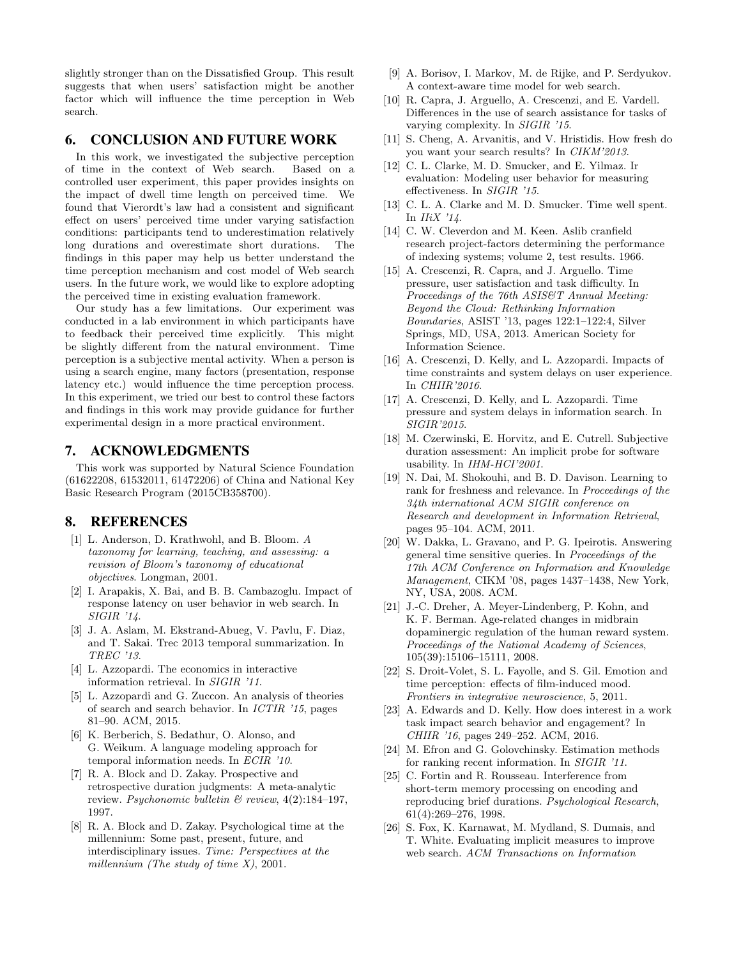slightly stronger than on the Dissatisfied Group. This result suggests that when users' satisfaction might be another factor which will influence the time perception in Web search.

# 6. CONCLUSION AND FUTURE WORK

In this work, we investigated the subjective perception of time in the context of Web search. Based on a controlled user experiment, this paper provides insights on the impact of dwell time length on perceived time. We found that Vierordt's law had a consistent and significant effect on users' perceived time under varying satisfaction conditions: participants tend to underestimation relatively long durations and overestimate short durations. The findings in this paper may help us better understand the time perception mechanism and cost model of Web search users. In the future work, we would like to explore adopting the perceived time in existing evaluation framework.

Our study has a few limitations. Our experiment was conducted in a lab environment in which participants have to feedback their perceived time explicitly. This might be slightly different from the natural environment. Time perception is a subjective mental activity. When a person is using a search engine, many factors (presentation, response latency etc.) would influence the time perception process. In this experiment, we tried our best to control these factors and findings in this work may provide guidance for further experimental design in a more practical environment.

## 7. ACKNOWLEDGMENTS

This work was supported by Natural Science Foundation (61622208, 61532011, 61472206) of China and National Key Basic Research Program (2015CB358700).

# 8. REFERENCES

- [1] L. Anderson, D. Krathwohl, and B. Bloom. A taxonomy for learning, teaching, and assessing: a revision of Bloom's taxonomy of educational objectives. Longman, 2001.
- [2] I. Arapakis, X. Bai, and B. B. Cambazoglu. Impact of response latency on user behavior in web search. In SIGIR '14.
- [3] J. A. Aslam, M. Ekstrand-Abueg, V. Pavlu, F. Diaz, and T. Sakai. Trec 2013 temporal summarization. In TREC '13.
- [4] L. Azzopardi. The economics in interactive information retrieval. In SIGIR '11.
- [5] L. Azzopardi and G. Zuccon. An analysis of theories of search and search behavior. In ICTIR '15, pages 81–90. ACM, 2015.
- [6] K. Berberich, S. Bedathur, O. Alonso, and G. Weikum. A language modeling approach for temporal information needs. In ECIR '10.
- [7] R. A. Block and D. Zakay. Prospective and retrospective duration judgments: A meta-analytic review. Psychonomic bulletin & review, 4(2):184–197, 1997.
- [8] R. A. Block and D. Zakay. Psychological time at the millennium: Some past, present, future, and interdisciplinary issues. Time: Perspectives at the millennium (The study of time  $X$ ), 2001.
- [9] A. Borisov, I. Markov, M. de Rijke, and P. Serdyukov. A context-aware time model for web search.
- [10] R. Capra, J. Arguello, A. Crescenzi, and E. Vardell. Differences in the use of search assistance for tasks of varying complexity. In SIGIR '15.
- [11] S. Cheng, A. Arvanitis, and V. Hristidis. How fresh do you want your search results? In CIKM'2013.
- [12] C. L. Clarke, M. D. Smucker, and E. Yilmaz. Ir evaluation: Modeling user behavior for measuring effectiveness. In SIGIR '15.
- [13] C. L. A. Clarke and M. D. Smucker. Time well spent. In  $IIiX$  '14.
- [14] C. W. Cleverdon and M. Keen. Aslib cranfield research project-factors determining the performance of indexing systems; volume 2, test results. 1966.
- [15] A. Crescenzi, R. Capra, and J. Arguello. Time pressure, user satisfaction and task difficulty. In Proceedings of the 76th ASIS&T Annual Meeting: Beyond the Cloud: Rethinking Information Boundaries, ASIST '13, pages 122:1–122:4, Silver Springs, MD, USA, 2013. American Society for Information Science.
- [16] A. Crescenzi, D. Kelly, and L. Azzopardi. Impacts of time constraints and system delays on user experience. In CHIIR'2016.
- [17] A. Crescenzi, D. Kelly, and L. Azzopardi. Time pressure and system delays in information search. In SIGIR'2015.
- [18] M. Czerwinski, E. Horvitz, and E. Cutrell. Subjective duration assessment: An implicit probe for software usability. In IHM-HCI'2001.
- [19] N. Dai, M. Shokouhi, and B. D. Davison. Learning to rank for freshness and relevance. In Proceedings of the 34th international ACM SIGIR conference on Research and development in Information Retrieval, pages 95–104. ACM, 2011.
- [20] W. Dakka, L. Gravano, and P. G. Ipeirotis. Answering general time sensitive queries. In Proceedings of the 17th ACM Conference on Information and Knowledge Management, CIKM '08, pages 1437–1438, New York, NY, USA, 2008. ACM.
- [21] J.-C. Dreher, A. Meyer-Lindenberg, P. Kohn, and K. F. Berman. Age-related changes in midbrain dopaminergic regulation of the human reward system. Proceedings of the National Academy of Sciences, 105(39):15106–15111, 2008.
- [22] S. Droit-Volet, S. L. Fayolle, and S. Gil. Emotion and time perception: effects of film-induced mood. Frontiers in integrative neuroscience, 5, 2011.
- [23] A. Edwards and D. Kelly. How does interest in a work task impact search behavior and engagement? In CHIIR '16, pages 249–252. ACM, 2016.
- [24] M. Efron and G. Golovchinsky. Estimation methods for ranking recent information. In SIGIR '11.
- [25] C. Fortin and R. Rousseau. Interference from short-term memory processing on encoding and reproducing brief durations. Psychological Research, 61(4):269–276, 1998.
- [26] S. Fox, K. Karnawat, M. Mydland, S. Dumais, and T. White. Evaluating implicit measures to improve web search. ACM Transactions on Information